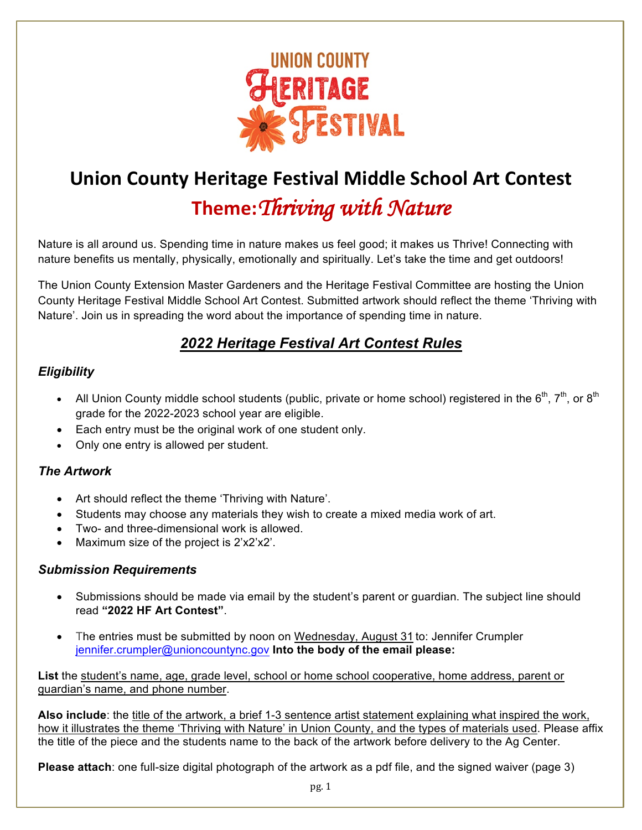

# **Union County Heritage Festival Middle School Art Contest Theme:***Thriving with Nature*

Nature is all around us. Spending time in nature makes us feel good; it makes us Thrive! Connecting with nature benefits us mentally, physically, emotionally and spiritually. Let's take the time and get outdoors!

The Union County Extension Master Gardeners and the Heritage Festival Committee are hosting the Union County Heritage Festival Middle School Art Contest. Submitted artwork should reflect the theme 'Thriving with Nature'. Join us in spreading the word about the importance of spending time in nature.

# *2022 Heritage Festival Art Contest Rules*

#### *Eligibility*

- All Union County middle school students (public, private or home school) registered in the  $6^{th}$ ,  $7^{th}$ , or  $8^{th}$ grade for the 2022-2023 school year are eligible.
- Each entry must be the original work of one student only.
- Only one entry is allowed per student.

#### *The Artwork*

- Art should reflect the theme 'Thriving with Nature'.
- Students may choose any materials they wish to create a mixed media work of art.
- Two- and three-dimensional work is allowed.
- Maximum size of the project is 2'x2'x2'.

#### *Submission Requirements*

- Submissions should be made via email by the student's parent or guardian. The subject line should read **"2022 HF Art Contest"**.
- The entries must be submitted by noon on Wednesday, August 31 to: Jennifer Crumpler jennifer.crumpler@unioncountync.gov **Into the body of the email please:**

**List** the student's name, age, grade level, school or home school cooperative, home address, parent or guardian's name, and phone number.

**Also include**: the title of the artwork, a brief 1-3 sentence artist statement explaining what inspired the work, how it illustrates the theme 'Thriving with Nature' in Union County, and the types of materials used. Please affix the title of the piece and the students name to the back of the artwork before delivery to the Ag Center.

**Please attach**: one full-size digital photograph of the artwork as a pdf file, and the signed waiver (page 3)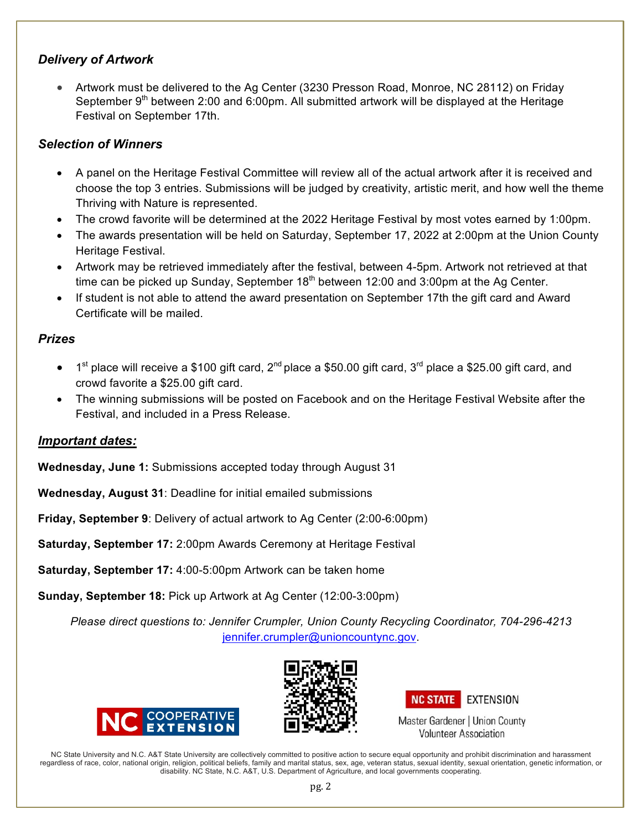#### *Delivery of Artwork*

• Artwork must be delivered to the Ag Center (3230 Presson Road, Monroe, NC 28112) on Friday September 9<sup>th</sup> between 2:00 and 6:00pm. All submitted artwork will be displayed at the Heritage Festival on September 17th.

#### *Selection of Winners*

- A panel on the Heritage Festival Committee will review all of the actual artwork after it is received and choose the top 3 entries. Submissions will be judged by creativity, artistic merit, and how well the theme Thriving with Nature is represented.
- The crowd favorite will be determined at the 2022 Heritage Festival by most votes earned by 1:00pm.
- The awards presentation will be held on Saturday, September 17, 2022 at 2:00pm at the Union County Heritage Festival.
- Artwork may be retrieved immediately after the festival, between 4-5pm. Artwork not retrieved at that time can be picked up Sunday, September  $18<sup>th</sup>$  between 12:00 and 3:00pm at the Ag Center.
- If student is not able to attend the award presentation on September 17th the gift card and Award Certificate will be mailed.

## *Prizes*

- 1<sup>st</sup> place will receive a \$100 gift card, 2<sup>nd</sup> place a \$50.00 gift card, 3<sup>rd</sup> place a \$25.00 gift card, and crowd favorite a \$25.00 gift card.
- The winning submissions will be posted on Facebook and on the Heritage Festival Website after the Festival, and included in a Press Release.

## *Important dates:*

**Wednesday, June 1:** Submissions accepted today through August 31

**Wednesday, August 31**: Deadline for initial emailed submissions

**Friday, September 9**: Delivery of actual artwork to Ag Center (2:00-6:00pm)

**Saturday, September 17:** 2:00pm Awards Ceremony at Heritage Festival

**Saturday, September 17:** 4:00-5:00pm Artwork can be taken home

**Sunday, September 18:** Pick up Artwork at Ag Center (12:00-3:00pm)

*Please direct questions to: Jennifer Crumpler, Union County Recycling Coordinator, 704-296-4213* jennifer.crumpler@unioncountync.gov.







Master Gardener | Union County **Volunteer Association** 

NC State University and N.C. A&T State University are collectively committed to positive action to secure equal opportunity and prohibit discrimination and harassment regardless of race, color, national origin, religion, political beliefs, family and marital status, sex, age, veteran status, sexual identity, sexual orientation, genetic information, or disability. NC State, N.C. A&T, U.S. Department of Agriculture, and local governments cooperating.